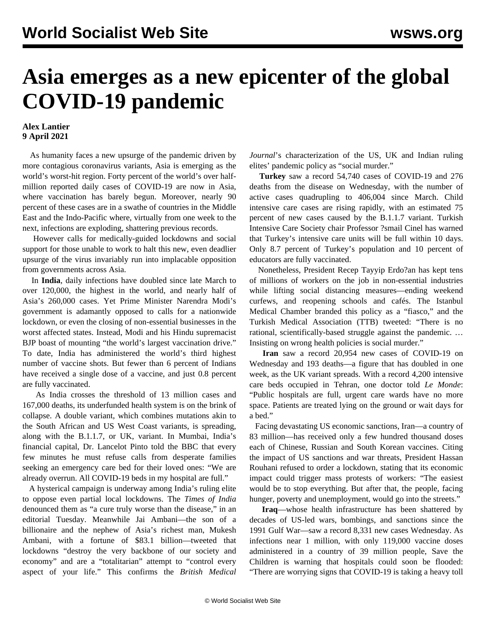## **Asia emerges as a new epicenter of the global COVID-19 pandemic**

## **Alex Lantier 9 April 2021**

 As humanity faces a new upsurge of the pandemic driven by more contagious coronavirus variants, Asia is emerging as the world's worst-hit region. Forty percent of the world's over halfmillion reported daily cases of COVID-19 are now in Asia, where vaccination has barely begun. Moreover, nearly 90 percent of these cases are in a swathe of countries in the Middle East and the Indo-Pacific where, virtually from one week to the next, infections are exploding, shattering previous records.

 However calls for medically-guided lockdowns and social support for those unable to work to halt this new, even deadlier upsurge of the virus invariably run into implacable opposition from governments across Asia.

 In **India**, daily infections have doubled since late March to over 120,000, the highest in the world, and nearly half of Asia's 260,000 cases. Yet Prime Minister Narendra Modi's government is adamantly opposed to calls for a nationwide lockdown, or even the closing of non-essential businesses in the worst affected states. Instead, Modi and his Hindu supremacist BJP boast of mounting "the world's largest vaccination drive." To date, India has administered the world's third highest number of vaccine shots. But fewer than 6 percent of Indians have received a single dose of a vaccine, and just 0.8 percent are fully vaccinated.

 As India crosses the threshold of 13 million cases and 167,000 deaths, its underfunded health system is on the brink of collapse. A double variant, which combines mutations akin to the South African and US West Coast variants, is spreading, along with the B.1.1.7, or UK, variant. In Mumbai, India's financial capital, Dr. Lancelot Pinto told the BBC that every few minutes he must refuse calls from desperate families seeking an emergency care bed for their loved ones: "We are already overrun. All COVID-19 beds in my hospital are full."

 A hysterical campaign is underway among India's ruling elite to oppose even partial local lockdowns. The *Times of India* denounced them as "a cure truly worse than the disease," in an editorial Tuesday. Meanwhile Jai Ambani—the son of a billionaire and the nephew of Asia's richest man, Mukesh Ambani, with a fortune of \$83.1 billion—tweeted that lockdowns "destroy the very backbone of our society and economy" and are a "totalitarian" attempt to "control every aspect of your life." This confirms the *British Medical* *Journal*'s characterization of the US, UK and Indian ruling elites' pandemic policy as "social murder."

 **Turkey** saw a record 54,740 cases of COVID-19 and 276 deaths from the disease on Wednesday, with the number of active cases quadrupling to 406,004 since March. Child intensive care cases are rising rapidly, with an estimated 75 percent of new cases caused by the B.1.1.7 variant. Turkish Intensive Care Society chair Professor ?smail Cinel has warned that Turkey's intensive care units will be full within 10 days. Only 8.7 percent of Turkey's population and 10 percent of educators are fully vaccinated.

 Nonetheless, President Recep Tayyip Erdo?an has kept tens of millions of workers on the job in non-essential industries while lifting social distancing measures—ending weekend curfews, and reopening schools and cafés. The Istanbul Medical Chamber branded this policy as a "fiasco," and the Turkish Medical Association (TTB) tweeted: "There is no rational, scientifically-based struggle against the pandemic. … Insisting on wrong health policies is social murder."

 **Iran** saw a record 20,954 new cases of COVID-19 on Wednesday and 193 deaths—a figure that has doubled in one week, as the UK variant spreads. With a record 4,200 intensive care beds occupied in Tehran, one doctor told *Le Monde*: "Public hospitals are full, urgent care wards have no more space. Patients are treated lying on the ground or wait days for a bed."

 Facing devastating US economic sanctions, Iran—a country of 83 million—has received only a few hundred thousand doses each of Chinese, Russian and South Korean vaccines. Citing the impact of US sanctions and war threats, President Hassan Rouhani refused to order a lockdown, stating that its economic impact could trigger mass protests of workers: "The easiest would be to stop everything. But after that, the people, facing hunger, poverty and unemployment, would go into the streets."

 **Iraq**—whose health infrastructure has been shattered by decades of US-led wars, bombings, and sanctions since the 1991 Gulf War—saw a record 8,331 new cases Wednesday. As infections near 1 million, with only 119,000 vaccine doses administered in a country of 39 million people, Save the Children is warning that hospitals could soon be flooded: "There are worrying signs that COVID-19 is taking a heavy toll